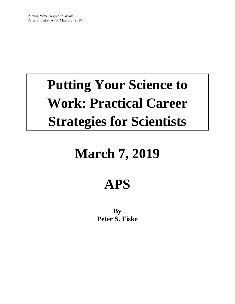# **Putting Your Science to Work: Practical Career Strategies for Scientists**

## **March 7, 2019**

## **APS**

**By Peter S. Fiske**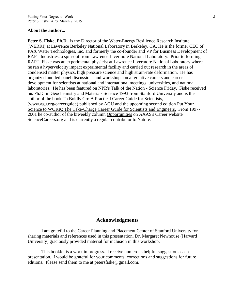#### **About the author...**

**Peter S. Fiske, Ph.D.** is the Director of the Water-Energy Resilience Research Institute (WERRI) at Lawrence Berkeley National Laboratory in Berkeley, CA. He is the former CEO of PAX Water Technologies, Inc. and formerly the co-founder and VP for Business Development of RAPT Industries, a spin-out from Lawrence Livermore National Laboratory. Prior to forming RAPT, Fiske was an experimental physicist at Lawrence Livermore National Laboratory where he ran a hypervelocity impact experimental facility and carried out research in the areas of condensed matter physics, high pressure science and high strain-rate deformation. He has organized and led panel discussions and workshops on alternative careers and career development for scientists at national and international meetings, universities, and national laboratories. He has been featured on NPR's Talk of the Nation - Science Friday. Fiske received his Ph.D. in Geochemistry and Materials Science 1993 from Stanford University and is the author of the book To Boldly Go: A Practical Career Guide for Scientists, (www.agu.org/careerguide) published by AGU and the upcoming second edition Put Your Science to WORK: The Take-Charge Career Guide for Scientists and Engineers. From 1997- 2001 he co-author of the biweekly column Opportunities on AAAS's Career website ScienceCareers.org and is currently a regular contributor to Nature.

## **Acknowledgments**

I am grateful to the Career Planning and Placement Center of Stanford University for sharing materials and references used in this presentation. Dr. Margaret Newhouse (Harvard University) graciously provided material for inclusion in this workshop.

This booklet is a work in progress. I receive numerous helpful suggestions each presentation. I would be grateful for your comments, corrections and suggestions for future editions. Please send them to me at petersfiske@gmail.com.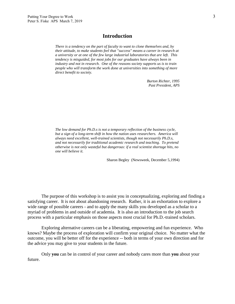## **Introduction**

*There is a tendency on the part of faculty to want to clone themselves and, by their attitude, to make students feel that "success" means a career in research at a university or at one of the few large industrial laboratories that are left. This tendency is misguided, for most jobs for our graduates have always been in industry and not in research. One of the reasons society supports us is to train people who will transform the work done at universities into something of more direct benefit to society.*

> *Burton Richter, 1995 Past President, APS*

*The low demand for Ph.D.s is not a temporary reflection of the business cycle, but a sign of a long-term shift in how the nation uses researchers. America will always need excellent, well-trained scientists, though not necessarily Ph.D.s, and not necessarily for traditional academic research and teaching. To pretend otherwise is not only wasteful but dangerous: if a real scientist shortage hits, no one will believe it.*

Sharon Begley (Newsweek, December 5,1994)

The purpose of this workshop is to assist you in conceptualizing, exploring and finding a satisfying career. It is not about abandoning research. Rather, it is an exhortation to explore a wide range of possible careers - and to apply the many skills you developed as a scholar to a myriad of problems in and outside of academia. It is also an introduction to the job search process with a particular emphasis on those aspects most crucial for Ph.D.-trained scholars.

Exploring alternative careers can be a liberating, empowering and fun experience. Who knows? Maybe the process of exploration will confirm your original choice. No matter what the outcome, you will be better off for the experience -- both in terms of your own direction and for the advice you may give to your students in the future.

Only **you** can be in control of your career and nobody cares more than **you** about your future.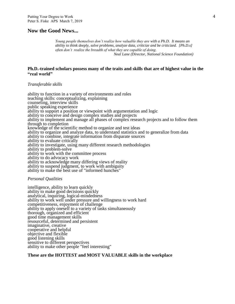#### **Now the Good News...**

*Young people themselves don't realize how valuable they are with a Ph.D. It means an ability to think deeply, solve problems, analyze data, criticize and be criticized. [Ph.D.s] often don't realize the breadth of what they are capable of doing. Neal Lane (Director, National Science Foundation)*

#### **Ph.D.-trained scholars possess many of the traits and skills that are of highest value in the "real world"**

*Transferable skills*

ability to function in a variety of environments and roles teaching skills: conceptualizing, explaining counseling, interview skills public speaking experience ability to support a position or viewpoint with argumentation and logic ability to conceive and design complex studies and projects ability to implement and manage all phases of complex research projects and to follow them through to completion knowledge of the scientific method to organize and test ideas ability to organize and analyze data, to understand statistics and to generalize from data ability to combine, integrate information from disparate sources ability to evaluate critically ability to investigate, using many different research methodologies ability to problem-solve ability to work with the committee process ability to do advocacy work ability to acknowledge many differing views of reality ability to suspend judgment, to work with ambiguity

ability to make the best use of "informed hunches"

#### *Personal Qualities*

intelligence, ability to learn quickly ability to make good decisions quickly analytical, inquiring, logical-mindedness ability to work well under pressure and willingness to work hard competitiveness, enjoyment of challenge ability to apply oneself to a variety of tasks simultaneously thorough, organized and efficient good time management skills resourceful, determined and persistent imaginative, creative cooperative and helpful objective and flexible good listening skills sensitive to different perspectives ability to make other people "feel interesting"

#### **These are the HOTTEST and MOST VALUABLE skills in the workplace**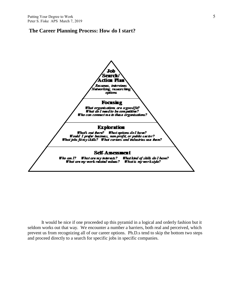## **The Career Planning Process: How do I start?**



It would be nice if one proceeded up this pyramid in a logical and orderly fashion but it seldom works out that way. We encounter a number a barriers, both real and perceived, which prevent us from recognizing all of our career options. Ph.D.s tend to skip the bottom two steps and proceed directly to a search for specific jobs in specific companies.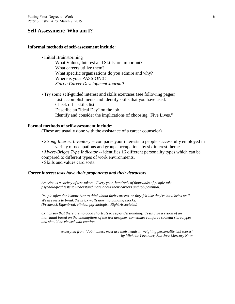## **Self Assessment: Who am I?**

#### **Informal methods of self-assessment include:**

• Initial Brainstorming

What Values, Interest and Skills are important? What careers utilize them? What specific organizations do you admire and why? Where is your PASSION!!! *Start a Career Development Journal!*

• Try some self-guided interest and skills exercises (see following pages) List accomplishments and identify skills that you have used. Check off a skills list. Describe an "Ideal Day" on the job. Identify and consider the implications of choosing "Five Lives."

### **Formal methods of self-assessment include:**

(These are usually done with the assistance of a career counselor)

- *Strong Interest Inventory* -- compares your interests to people successfully employed in a variety of occupations and groups occupations by six interest themes.
- 
- *Myers-Briggs Type Indicator* -- identifies 16 different personality types which can be compared to different types of work environments.
- Skills and values card sorts.

#### *Career interest tests have their proponents and their detractors*

*America is a society of test-takers. Every year, hundreds of thousands of people take psychological tests to understand more about their careers and job potential.*

*People often don't know how to think about their careers, or they felt like they've hit a brick wall. We use tests to break the brick walls down to building blocks. (Frederick Eigenbrod, clinical psychologist, Right Associates)*

*Critics say that there are no good shortcuts to self-understanding. Tests give a vision of an individual based on the assumptions of the test designer, sometimes reinforce societal stereotypes and should be viewed with caution.*

> *excerpted from "Job hunters must use their heads in weighing personality test scores" by Michelle Levander, San Jose Mercury News*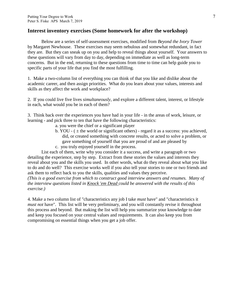## **Interest inventory exercises (Some homework for after the workshop)**

Below are a series of self-assessment exercises, modified from *Beyond the Ivory Tower* by Margaret Newhouse. These exercises may seem nebulous and somewhat redundant, in fact they are. But they can sneak up on you and help to reveal things about yourself. Your answers to these questions will vary from day to day, depending on immediate as well as long-term concerns. But in the end, returning to these questions from time to time can help guide you to specific parts of your life that you find the most fulfilling.

1. Make a two-column list of everything you can think of that you like and dislike about the academic career, and then assign priorities. What do you learn about your values, interests and skills as they affect the work and workplace?

2. If you could live five lives *simultaneously*, and explore a different talent, interest, or lifestyle in each, what would you be in each of them?

3. Think back over the experiences you have had in your life - in the areas of work, leisure, or learning - and pick three to ten that have the following characteristics:

- a. you were the chief or a significant player
- b. YOU  $($   $\pm$  the world or significant others) regard it as a success: you achieved, did, or created something with concrete results, or acted to solve a problem, or gave something of yourself that you are proud of and are pleased by
- c. you truly enjoyed yourself in the process.

List each of them, write why you consider it a success, and write a paragraph or two detailing the experience, step by step. Extract from these stories the values and interests they reveal about you and the skills you used. In other words, what do they reveal about what you like to do and do well? This exercise works well if you also tell your stories to one or two friends and ask them to reflect back to you the skills, qualities and values they perceive.

*(This is a good exercise from which to construct good interview answers and resumes. Many of the interview questions listed in Knock 'em Dead could be answered with the results of this exercise.)*

4. Make a two column list of "characteristics any job I take *must* have" and "characteristics it *must not* have". This list will be very preliminary, and you will constantly revise it throughout this process and beyond. But making the list will help you summarize your knowledge to date and keep you focused on your central values and requirements. It can also keep you from compromising on essential things when you get a job offer.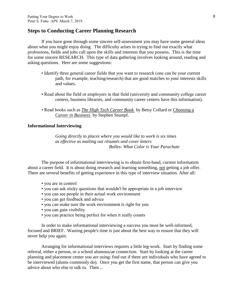## **Steps to Conducting Career Planning Research**

If you have gone through some sincere self-assessment you may have some general ideas about what you might enjoy doing. The difficulty arises in trying to find out exactly what professions, fields and jobs call upon the skills and interests that you possess. This is the time for some sincere RESEARCH. This type of data gathering involves looking around, reading and asking questions. Here are some suggestions:

- Identify three general career fields that you want to research (one can be your current path, for example, teaching/research) that are good matches to your interests skills and values.
- Read about the field or employers in that field (university and community college career centers, business libraries, and community career centers have this information).
- Read books such as *The High Tech Career Book* by Betsy Collard or *Choosing a Career in Business* by Stephen Stumpf.

#### **Informational Interviewing**

*Going directly to places where you would like to work is six times as effective as mailing out résumés and cover letters Bolles- What Color is Your Parachute*

The purpose of informational interviewing is to obtain first-hand, current information about a career field. It is about doing research and learning something, not getting a job offer. There are several benefits of getting experience in this type of interview situation. After all:

- you are in control
- you can ask sticky questions that wouldn't be appropriate in a job interview
- you can see people in their actual work environment
- you can get feedback and advice
- you can make sure the work environment is right for you
- you can gain visibility
- you can practice being perfect for when it really counts

In order to make informational interviewing a success you must be well-informed, focused and BRIEF. Wasting people's time is just about the best way to ensure that they will never help you again.

Arranging for informational interviews requires a little leg-work. Start by finding some referral, either a person, or a school alumnus/ae connection. Start by looking at the career planning and placement center you are using: find out if there are individuals who have agreed to be interviewed (alums commonly do). Once you get the first name, that person can give you advice about who else to talk to. Then ...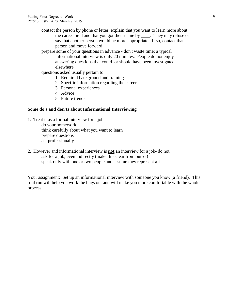- contact the person by phone or letter, explain that you want to learn more about the career field and that you got their name by \_\_\_\_. They may refuse or say that another person would be more appropriate. If so, contact that person and move forward.
- prepare some of your questions in advance don't waste time: a typical informational interview is only 20 minutes. People do not enjoy answering questions that could or should have been investigated elsewhere
- questions asked usually pertain to:
	- 1. Required background and training
	- 2. Specific information regarding the career
	- 3. Personal experiences
	- 4. Advice
	- 5. Future trends

#### **Some do's and don'ts about Informational Interviewing**

- 1. Treat it as a formal interview for a job: do your homework
	- think carefully about what you want to learn prepare questions act professionally
- 2. However and informational interview is **not** an interview for a job- do not: ask for a job, even indirectly (make this clear from outset) speak only with one or two people and assume they represent all

Your assignment: Set up an informational interview with someone you know (a friend). This trial run will help you work the bugs out and will make you more comfortable with the whole process.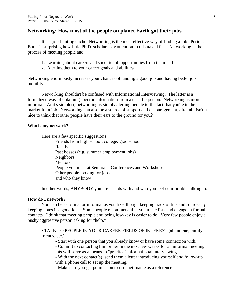## **Networking: How most of the people on planet Earth got their jobs**

It is a job-hunting cliché: Networking is the most effective way of finding a job. Period. But it is surprising how little Ph.D. scholars pay attention to this naked fact. Networking is the process of meeting people and

- 1. Learning about careers and specific job opportunities from them and
- 2. Alerting them to your career goals and abilities

Networking enormously increases your chances of landing a good job and having better job mobility.

Networking shouldn't be confused with Informational Interviewing. The latter is a formalized way of obtaining specific information from a specific person. Networking is more informal. At it's simplest, networking is simply alerting people to the fact that you're in the market for a job. Networking can also be a source of support and encouragement, after all, isn't it nice to think that other people have their ears to the ground for you?

#### **Who is my network?**

Here are a few specific suggestions:

Friends from high school, college, grad school Relatives Past bosses (e.g. summer employment jobs) Neighbors Mentors People you meet at Seminars, Conferences and Workshops Other people looking for jobs and who they know...

In other words, ANYBODY you are friends with and who you feel comfortable talking to.

#### **How do I network?**

You can be as formal or informal as you like, though keeping track of tips and sources by keeping notes is a good idea. Some people recommend that you make lists and engage in formal contacts. I think that meeting people and being low-key is easier to do. Very few people enjoy a pushy aggressive person asking for "help."

• TALK TO PEOPLE IN YOUR CAREER FIELDS OF INTEREST (alumni/ae, family friends, etc.)

- Start with one person that you already know or have some connection with.

- Commit to contacting him or her in the next few weeks for an informal meeting, this will serve as a means to "practice" informational interviewing.

- With the next contact(s), send them a letter introducing yourself and follow-up with a phone call to set up the meeting.

- Make sure you get permission to use their name as a reference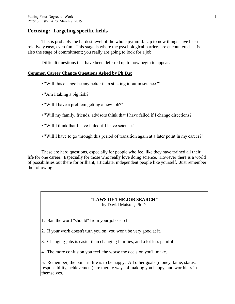## **Focusing: Targeting specific fields**

This is probably the hardest level of the whole pyramid. Up to now things have been relatively easy, even fun. This stage is where the psychological barriers are encountered. It is also the stage of commitment; you really are going to look for a job.

Difficult questions that have been deferred up to now begin to appear.

#### **Common Career Change Questions Asked by Ph.D.s:**

- "Will this change be any better than sticking it out in science?"
- "Am I taking a big risk?"
- "Will I have a problem getting a new job?"
- "Will my family, friends, advisors think that I have failed if I change directions?"
- "Will I think that I have failed if I leave science?"
- "Will I have to go through this period of transition again at a later point in my career?"

These are hard questions, especially for people who feel like they have trained all their life for one career. Especially for those who really love doing science. However there is a world of possibilities out there for brilliant, articulate, independent people like yourself. Just remember the following:

#### **"LAWS OF THE JOB SEARCH"** by David Maister, Ph.D.

- 1. Ban the word "should" from your job search.
- 2. If your work doesn't turn you on, you won't be very good at it.
- 3. Changing jobs is easier than changing families, and a lot less painful.
- 4. The more confusion you feel, the worse the decision you'll make.

5. Remember, the point in life is to be happy. All other goals (money, fame, status, responsibility, achievement) are merely ways of making you happy, and worthless in themselves.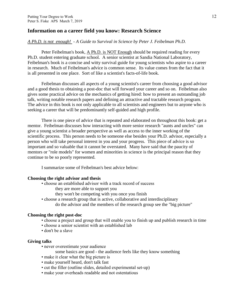## **Information on a career field you know: Research Science**

#### *A Ph.D. is not enough! - A Guide to Survival in Science by Peter J. Feibelman Ph.D.*

Peter Feibelman's book, A Ph.D. is NOT Enough should be required reading for every Ph.D. student entering graduate school. A senior scientist at Sandia National Laboratory, Feibelman's book is a concise and witty survival guide for young scientists who aspire to a career in research. Much of Feibelman's advice is common sense. Its value comes from the fact that it is all presented in one place. Sort of like a scientist's facts-of-life book.

Feibelman discusses all aspects of a young scientist's career from choosing a good advisor and a good thesis to obtaining a post-doc that will forward your career and so on. Feibelman also gives some practical advice on the mechanics of getting hired: how to present an outstanding job talk, writing notable research papers and defining an attractive and tractable research program. The advice in this book is not only applicable to all scientists and engineers but to anyone who is seeking a career that will be predominantly self-guided and high profile.

There is one piece of advice that is repeated and elaborated on throughout this book: get a mentor. Feibelman discusses how interacting with more senior research "aunts and uncles" can give a young scientist a broader perspective as well as access to the inner working of the scientific process. This person needs to be someone else besides your Ph.D. advisor, especially a person who will take personal interest in you and your progress. This piece of advice is so important and so valuable that it cannot be overstated. Many have said that the paucity of mentors or "role models" for women and minorities in science is the principal reason that they continue to be so poorly represented.

I summarize some of Feibelman's best advice below:

#### **Choosing the right advisor and thesis**

- choose an established advisor with a track record of success
	- they are more able to support you
	- they won't be competing with you once you finish
- choose a research group that is active, collaborative and interdisciplinary do the advisor and the members of the research group see the "big picture"

#### **Choosing the right post-doc**

- choose a project and group that will enable you to finish up and publish research in time
- choose a senior scientist with an established lab
- don't be a slave

#### **Giving talks**

- never overestimate your audience
	- some basics are good the audience feels like they know something
- make it clear what the big picture is
- make yourself heard, don't talk fast
- cut the filler (outline slides, detailed experimental set-up)
- make your overheads readable and not ostentatious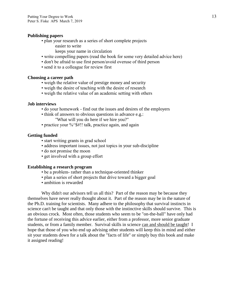#### **Publishing papers**

- plan your research as a series of short complete projects easier to write
	- keeps your name in circulation
- write compelling papers (read the book for some very detailed advice here)
- don't be afraid to use first person/avoid overuse of third person
- send it to a colleague for review first

#### **Choosing a career path**

- weigh the relative value of prestige money and security
- weigh the desire of teaching with the desire of research
- weigh the relative value of an academic setting with others

#### **Job interviews**

- do your homework find out the issues and desires of the employers
- think of answers to obvious questions in advance e.g.: "What will you do here if we hire you?"
- practice your % \\$#!! talk, practice again, and again

#### **Getting funded**

- start writing grants in grad school
- address important issues, not just topics in your sub-discipline
- do not promise the moon
- get involved with a group effort

#### **Establishing a research program**

- be a problem- rather than a technique-oriented thinker
- plan a series of short projects that drive toward a bigger goal
- ambition is rewarded

Why didn't our advisors tell us all this? Part of the reason may be because they themselves have never really thought about it. Part of the reason may be in the nature of the Ph.D. training for scientists. Many adhere to the philosophy that survival instincts in science can't be taught and that only those with the instinctive skills should survive. This is an obvious crock. Most often, those students who seem to be "on-the-ball" have only had the fortune of receiving this advice earlier, either from a professor, more senior graduate students, or from a family member. Survival skills in science can and should be taught! I hope that those of you who end up advising other students will keep this in mind and either sit your students down for a talk about the "facts of life" or simply buy this book and make it assigned reading!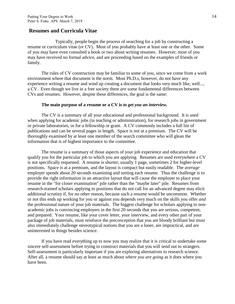## **Resumes and Curricula Vitae**

Typically, people begin the process of searching for a job by constructing a resume or curriculum vitae (or CV). Most of you probably have at least one or the other. Some of you may have even consulted a book or two about writing resumes. However, most of you may have received no formal advice, and are proceeding based on the examples of friends or family.

The rules of CV construction may be familiar to some of you, since we come from a work environment where that document is the norm. Most Ph.D.s, however, do not have any experience writing a resume and wind up creating a document that looks very much like, well..., a CV. Even though we live in a free society there *are* some fundamental differences between CVs and resumes. However, despite these differences, the goal is the same:

#### **The main purpose of a resume or a CV is** *to get you an interview.*

The CV is a summary of all your educational and professional background. It is used when applying for academic jobs (in teaching or administration), for research jobs in government or private laboratories, or for a fellowship or grant. A CV commonly includes a full list of publications and can be several pages in length. Space is not at a premium. The CV will be thoroughly examined by at least one member of the search committee who will glean the information that is of highest importance to the committee.

The resume is a summary of those aspects of your job experience and education that qualify you for the particular job to which you are applying. Resumes are used everywhere a CV is not specifically requested. A resume is shorter, usually 1 page, sometimes 2 for higher-level positions. Space is at a premium, and the layout is compact but easily readable. The *average* employer spends about 20 seconds examining and sorting each resume. Thus the challenge is to provide the right information in an attractive layout that will cause the employer to place your resume in the "for closer examination" pile rather than the "maybe later" pile. Resumes from research-trained scholars applying to positions that do not call for an advanced degree may elicit additional scrutiny if, for no other reason, because such a resume would be uncommon. Whether or not this ends up working for you or against you depends very much on the skills you offer *and* the professional nature of your job materials. The biggest challenge for scholars applying to nonacademic jobs is convincing employers in the first 20 seconds that you are serious, competent, and prepared. Your resume, like your cover letter, your interview, and every other part of your package of job materials, must reinforce the preconception that you are bloody brilliant but must also immediately challenge stereotypical notions that you are a loner, are impractical, and are uninterested in things besides science.

If you have read everything up to now you may realize that it is critical to undertake some sincere self-assessment before trying to construct materials that you will send out to strangers. Self-assessment is particularly important if you are exploring alternatives to research science. After all, a resume should say at least as much about *where you are going* as it does where you have been.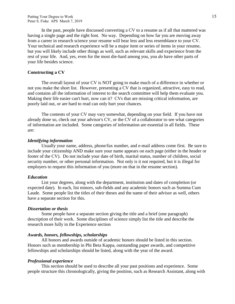In the past, people have discussed converting a CV to a resume as if all that mattered was having a single page and the right font. No way. Depending on how far you are moving away from a career in research science your resume will bear less and less resemblance to your CV. Your technical and research experience will be a major item or series of items in your resume, but you will likely include other things as well, such as relevant skills and experience from the rest of your life. And, yes, even for the most die-hard among you, you *do* have other parts of your life besides science.

#### **Constructing a CV**

The overall layout of your CV is NOT going to make much of a difference in whether or not you make the short list. However, presenting a CV that is organized, attractive, easy to read, and contains all the information of interest to the search committee will help them evaluate you. Making their life easier can't hurt, now can it? CVs that are missing critical information, are poorly laid out, or are hard to read can only hurt your chances.

The contents of your CV may vary somewhat, depending on your field. If you have not already done so, check out your advisor's CV, or the CV of a collaborator to see what categories of information are included. Some categories of information are essential in all fields. These are:

#### *Identifying information*

Usually your name, address, phone/fax number, and e-mail address come first. Be sure to include your citizenship AND make sure your name appears on each page (either in the header or footer of the CV). Do not include your date of birth, marital status, number of children, social security number, or other personal information. Not only is it not required, but it is illegal for employers to request this information of you (more on that in the resume section).

#### *Education*

List your degrees, along with the department, institution and dates of completion (or expected date). In each, list minors, sub-fields and any academic honors such as Summa Cum Laude. Some people list the titles of their theses and the name of their advisor as well, others have a separate section for this.

#### *Dissertation or thesis*

Some people have a separate section giving the title and a brief (one paragraph) description of their work. Some disciplines of science simply list the title and describe the research more fully in the Experience section

#### *Awards, honors, fellowships, scholarships*

All honors and awards outside of academic honors should be listed in this section. Honors such as membership in Phi Beta Kappa, outstanding paper awards, and competitive fellowships and scholarships should be listed, along with the year of the award.

#### *Professional experience*

This section should be used to describe all your past positions and experience. Some people structure this chronologically, giving the position, such as Research Assistant, along with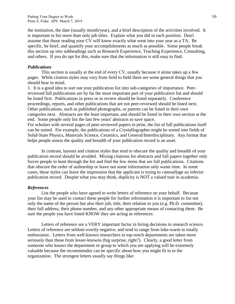the institution, the date (usually month/year), and a brief description of the activities involved. It is important to list more than only job titles. Explain what you did in each position. Don't assume that those reading your CV will know exactly what went into your year as a TA. Be specific, be brief, and quantify your accomplishments as much as possible. Some people break this section up into subheadings such as Research Experience, Teaching Experience, Consulting, and others. If you do opt for this, make sure that the information is still easy to find.

#### *Publications*

This section is usually at the end of every CV, usually because it alone takes up a few pages. While citation styles may vary from field to field there are some general things that you should bear in mind.

1. It is a good idea to sort out your publication list into sub-categories of importance. Peerreviewed full publications are by far the most important part of your publication list and should be listed first. Publications in press or in review should be listed separately. Conference proceedings, reports, and other publications that are not peer-reviewed should be listed next. Other publications, such as published photographs, or patents can be listed in their own categories next. Abstracts are the least important, and should be listed in their own section at the end. Some people only list the last few years' abstracts to save space. For scholars with several pages of peer-reviewed papers in print, the list of full publications itself can be sorted. For example, the publications of a Crystallographer might be sorted into fields of Solid-State Physics, Materials Science, Ceramics, and General/Interdisciplinary. Any format that helps people assess the quality and breadth of your publication record is an asset.

In contrast, layouts and citation styles that tend to obscure the quality and breadth of your publication record should be avoided. Mixing citations for abstracts and full papers together only forces people to hunt through the list and find the few items that are full publications. Citations that obscure the order of authorship or leave out some information only waste time. In some cases, these styles can leave the impression that the applicant is trying to camouflage an inferior publication record. Despite what you may think, duplicity is NOT a valued trait in academia.

#### *References*

List the people who have agreed to write letters of reference on your behalf. Because your list may be used to contact these people for further information it is important to list not only the name of the person but also their job, title, their relation to you (e.g. Ph.D. committee), their full address, their phone number, and any other appropriate means of contacting them. Be sure the people you have listed KNOW they are acting as references.

Letters of reference are a VERY important factor in hiring decisions in research science. Letters of reference are seldom overtly negative, and tend to range from luke-warm to totally enthusiastic. Letters from well-known researchers in top-notch departments are taken more seriously than those from lesser-knowns (big surprise, right?). Clearly, a good letter from someone who knows the department or group to which you are applying will be extremely valuable because the recommendor can be specific about how you might fit in to the organization. The strongest letters usually say things like: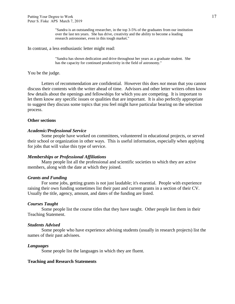"Sandra is an outstanding researcher, in the top 3-5% of the graduates from our institution over the last ten years. She has drive, creativity and the ability to become a leading research astronomer, even in this tough market."

In contrast, a less enthusiastic letter might read:

"Sandra has shown dedication and drive throughout her years as a graduate student. She has the capacity for continued productivity in the field of astronomy."

#### You be the judge.

Letters of recommendation are confidential. However this does *not* mean that you cannot discuss their contents with the writer ahead of time. Advisors and other letter writers often know few details about the openings and fellowships for which you are competing. It is important to let them know any specific issues or qualities that are important. It is also perfectly appropriate to suggest they discuss some topics that you feel might have particular bearing on the selection process.

#### **Other sections**

#### *Academic/Professional Service*

Some people have worked on committees, volunteered in educational projects, or served their school or organization in other ways. This is useful information, especially when applying for jobs that will value this type of service.

#### *Memberships or Professional Affiliations*

Many people list all the professional and scientific societies to which they are active members, along with the date at which they joined.

#### *Grants and Funding*

For some jobs, getting grants is not just laudable; it's essential. People with experience raising their own funding sometimes list their past and current grants in a section of their CV. Usually the title, agency, amount, and dates of the funding are listed.

#### *Courses Taught*

Some people list the course titles that they have taught. Other people list them in their Teaching Statement.

#### *Students Advised*

Some people who have experience advising students (usually in research projects) list the names of their past advisees.

#### *Languages*

Some people list the languages in which they are fluent.

#### **Teaching and Research Statements**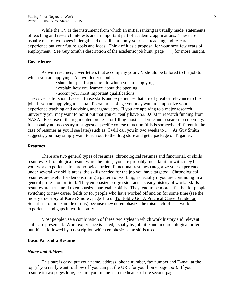While the CV is the instrument from which an initial ranking is usually made, statements of teaching and research interests are an important part of academic applications. These are usually one to two pages in length and describe not only your past teaching and research experience but your future goals and ideas. Think of it as a proposal for your next few years of employment. See Guy Smith's description of the academic job hunt (page ) for more insight.

#### **Cover letter**

As with resumes, cover letters that accompany your CV should be tailored to the job to which you are applying. A cover letter should:

- state the specific position to which you are applying
- explain how you learned about the opening
- accent your most important qualifications

The cover letter should accent those skills and experiences that are of greatest relevance to the job. If you are applying to a small liberal arts college you may want to emphasize your experience teaching and advising undergraduates. If you are applying to a major research university you may want to point out that you currently have \$330,000 in research funding from NASA. Because of the regimented process for filling most academic and research job openings it is usually not necessary to suggest a specific course of action (this is somewhat different in the case of resumes as you'll see later) such as "I will call you in two weeks to ..." As Guy Smith suggests, you may simply want to run out to the drug store and get a package of Tagamet.

#### **Resumes**

There are two general types of resumes: chronological resumes and functional, or skills resumes. Chronological resumes are the things you are probably most familiar with: they list your work experience in chronological order. Functional resumes categorize your experience under several key skills areas: the skills needed for the job you have targeted. Chronological resumes are useful for demonstrating a pattern of working, especially if you are continuing in a general profession or field. They emphasize progression and a steady history of work. Skills resumes are structured to emphasize marketable skills. They tend to be more effective for people switching to new career fields or for people who have worked off and on for some time (see the mostly true story of Karen Smote , page 156 of To Boldly Go: A Practical Career Guide for Scientists for an example of this) because they de-emphasize the mismatch of past work experience and gaps in work history.

Most people use a combination of these two styles in which work history and relevant skills are presented. Work experience is listed, usually by job title and in chronological order, but this is followed by a description which emphasizes the skills used.

#### **Basic Parts of a Resume**

#### *Name and Address*

This part is easy: put your name, address, phone number, fax number and E-mail at the top (if you really want to show off you can put the URL for your home page too!). If your resume is two pages long, be sure your name is in the header of the second page.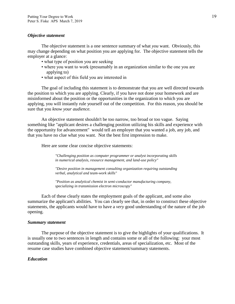#### *Objective statement*

The objective statement is a one sentence summary of what *you* want. Obviously, this may change depending on what position you are applying for. The objective statement tells the employer at a glance:

- what type of position you are seeking
- where you want to work (presumably in an organization similar to the one you are applying to)
- what aspect of this field you are interested in

The goal of including this statement is to demonstrate that you are well directed towards the position to which you are applying. Clearly, if you have not done your homework and are misinformed about the position or the opportunities in the organization to which you are applying, you will instantly rule yourself out of the competition. For this reason, you should be sure that you *know your audience.*

An objective statement shouldn't be too narrow, too broad or too vague. Saying something like "applicant desires a challenging position utilizing his skills and experience with the opportunity for advancement" would tell an employer that you wanted a job, any job, and that you have no clue what you want. Not the best first impression to make.

Here are some clear concise objective statements:

*"Challenging position as computer programmer or analyst incorporating skills in numerical analysis, resource management, and land-use policy"*

*"Desire position in management consulting organization requiring outstanding verbal, analytical and team-work skills"*

*"Position as analytical chemist in semi-conductor manufacturing company, specializing in transmission electron microscopy"*

Each of these clearly states the employment goals of the applicant, and some also summarize the applicant's abilities. You can clearly see that, in order to construct these objective statements, the applicants would have to have a *very* good understanding of the nature of the job opening.

#### *Summary statement*

The purpose of the objective statement is to give the highlights of your qualifications. It is usually one to two sentences in length and contains some or all of the following: your most outstanding skills, years of experience, credentials, areas of specialization, etc. Most of the resume case studies have combined objective statement/summary statements.

#### *Education*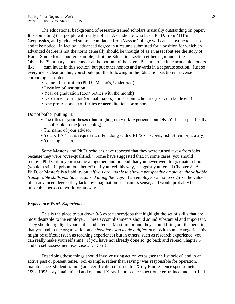The educational background of research-trained scholars is usually outstanding on paper. It is something that people will really notice. A candidate who has a Ph.D. from MIT in Geophysics, and graduated summa cum laude from Vassar College will cause anyone to sit up and take notice. In fact *any* advanced degree in a resume submitted for a position for which an advanced degree is not the norm generally should be thought of as an asset (but see the story of Karen Smote for a counter example). Put the Education section either right under the Objective/Summary statements or at the bottom of the page. Be sure to include academic honors like <u>equal</u> cum laude in this section, but put other honors and awards in a separate section. Just so everyone is clear on this, you should put the following in the Education section in reverse chronological order:

- Name of institution (Ph.D., Master's, Undergrad)
- Location of institution
- Year of graduation (don't bother with the month)
- Department or major (or dual majors) and academic honors (i.e., cum laude etc.)
- Any professional certificates or accreditations or minors

Do not bother putting in:

- The titles of your theses (that might go in work experience but ONLY if it is specifically applicable to the job opening)
- The name of your advisor
- Your GPA (if it is requested, often along with GRE/SAT scores, list it/them separately)
- Your high school

Some Master's and Ph.D. scholars have reported that they were turned away from jobs because they were "over-qualified." Some have suggested that, in some cases, you should remove Ph.D. from your resume altogether, and pretend that you never went to graduate school (would a stint in prison look better?). If you feel this way, I suggest you reread Chapter 2. A Ph.D. or Master's is a liability *only if you are unable to show a prospective employer the valuable transferable skills you have acquired along the way*. If an employer cannot recognize the value of an advanced degree they lack any imagination or business sense, and would probably be a miserable person to work for anyway.

#### *Experience/Work Experience*

This is the place to put down 3-5 experiences/jobs that highlight the set of skills that are most desirable to the employer. These accomplishments should sound substantial and important. They should highlight your skills and talents. Most important, they should bring out the benefit that you had to the organization and *show how you made a difference*. With some categories this might be difficult (such as teaching experience) but in others, such as research experience, you can really make yourself shine. If you have not already done so, go back and reread Chapter 5 and do self-assessment exercise #3. Do it!

Describing these things should involve using action verbs (see the list below) and in an active past or present tense. For example, rather than saying "was responsible for operation, maintenance, student training and certification of users for X-ray Fluorescence spectrometer 1992-1995" say "maintained and operated X-ray fluorescence spectrometer, trained and certified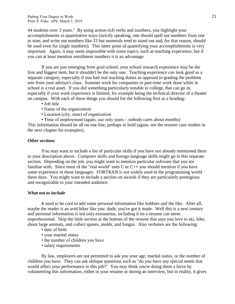44 students over 3 years." By using action-rich verbs and numbers, you highlight your accomplishments in quantitative ways (strictly speaking, one should spell out numbers from one to nine, and write out numbers like 23 but numerals tend to stand out and, for that reason, should be used even for single numbers). This latter point of quantifying your accomplishments is very important. Again, it may seem impossible with some topics, such as teaching experience, but if you can at least mention enrollment numbers it is an advantage.

If you are just emerging from grad school, your school research experience may be the first and biggest item, but it shouldn't be the only one. Teaching experience can look good as a separate category, especially if you had real teaching duties as opposed to grading the problem sets from your advisor's class. Summer work for companies or part-time work done while in school is a real asset. If you did something particularly notable in college, that can go in, especially if your work experience is limited, for example being the technical director of a theater on campus. With each of these things you should list the following first as a heading:

- Job title
- Name of the organization
- Location (city, state) of organization
- Time of employment (again, use only years nobody cares about months)

This information should be all on one line, perhaps in bold (again, see the resume case studies in the next chapter for examples).

#### *Other sections*

You may want to include a list of particular skills if you have not already mentioned them in your description above. Computer skills and foreign language skills might go in this separate section. Depending on the job, you might want to mention particular software that you are familiar with. Since most of the "real world" uses  $C$  or  $C_{++}$  you should mention if you have some experience in these languages. FORTRAN is not widely used in the programming world these days. You might want to include a section on awards if they are particularly prestigious and recognizable to your intended audience.

#### *What not to include*

It used to be cool to add some personal information like hobbies and the like. After all, maybe the reader is an avid hiker like you: dude, you've got it made. Well this is a new century and personal information is not only extraneous, including it on a resume can seem unprofessional. Skip the little section at the bottom of the resume that says you love to ski, hike, shoot large animals, and collect spores, molds, and fungus. Also verboten are the following:

- date of birth
- your marital status
- the number of children you have
- salary requirements

By law, employers are not permitted to ask you your age, marital status, or the number of children you have. They can ask oblique questions such as "do you have any special needs that would affect your performance in this job?" You may think you're doing them a favor by volunteering this information, either in your resume or during an interview, but in reality, it gives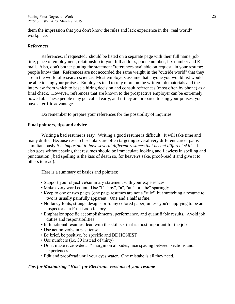them the impression that you don't know the rules and lack experience in the "real world" workplace.

### *References*

References, if requested, should be listed on a separate page with their full name, job title, place of employment, relationship to you, full address, phone number, fax number and Email. Also, don't bother putting the statement "references available on request" in your resume; people know that. References are not accorded the same weight in the "outside world" that they are in the world of research science. Most employers assume that anyone you would list would be able to sing your praises. Employers tend to rely more on the written job materials and the interview from which to base a hiring decision and consult references (most often by phone) as a final check. However, references that are known to the prospective employer can be extremely powerful. These people may get called early, and if they are prepared to sing your praises, you have a terrific advantage.

Do remember to prepare your references for the possibility of inquiries.

## **Final pointers, tips and advice**

Writing a bad resume is easy. Writing a good resume is difficult. It will take time and many drafts. Because research scholars are often targeting several very different career paths simultaneously *it is important to have several different resumes that accent different skills.* It also goes without saying that resumes should be immaculate looking and flawless in spelling and punctuation ( bad spelling is the kiss of death so, for heaven's sake, proof-read it and give it to others to read).

Here is a summary of basics and pointers:

- Support your objective/summary statement with your experiences
- Make every word count. Use "I", "my", "a", "an", or "the" sparingly
- Keep to one or two pages (one page resumes are not a "rule" but stretching a resume to two is usually painfully apparent. One and a half is fine.
- No fancy fonts, strange designs or funny colored paper; unless you're applying to be an inspector at a Fruit Loop factory
- Emphasize specific accomplishments, performance, and quantifiable results. Avoid job duties and responsibilities
- In functional resumes, lead with the skill set that is most important for the job
- Use action verbs in past tense
- Be brief, be positive, be specific and BE HONEST
- Use numbers (i.e. 30 instead of thirty)
- Don't make it crowded: 1" margin on all sides, nice spacing between sections and experiences
- Edit and proofread until your eyes water. One mistake is all they need....

#### *Tips for Maximizing "Hits" for Electronic versions of your resume*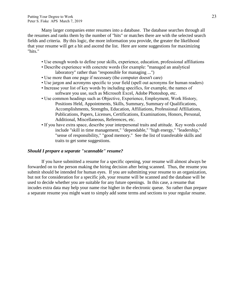Many larger companies enter resumes into a database. The database searches through all the resumes and ranks them by the number of "hits" or matches there are with the selected search fields and criteria. By this logic, the more information you provide, the greater the likelihood that your resume will get a hit and ascend the list. Here are some suggestions for maximizing "hits."

- Use enough words to define your skills, experience, education, professional affiliations
- Describe experience with concrete words (for example: "managed an analytical laboratory" rather than "responsible for managing ...")
- Use more than one page if necessary (the computer doesn't care)
- Use jargon and acronyms specific to your field (spell out acronyms for human readers)
- Increase your list of key words by including specifics, for example, the names of software you use, such as Microsoft Excel, Adobe Photoshop, etc.
- Use common headings such as Objective, Experience, Employment, Work History, Positions Held, Appointments, Skills, Summary, Summary of Qualifications, Accomplishments, Strengths, Education, Affiliations, Professional Affiliations, Publications, Papers, Licenses, Certifications, Examinations, Honors, Personal, Additional, Miscellaneous, References, etc.
- If you have extra space, describe your interpersonal traits and attitude. Key words could include "skill in time management," "dependable," "high energy," "leadership," "sense of responsibility," "good memory." See the list of transferable skills and traits to get some suggestions.

#### *Should I prepare a separate "scannable" resume?*

If you have submitted a resume for a specific opening, your resume will almost always be forwarded on to the person making the hiring decision after being scanned. Thus, the resume you submit should be intended for human eyes. If you are submitting your resume to an organization, but not for consideration for a specific job, your resume will be scanned and the database will be used to decide whether you are suitable for any future openings. In this case, a resume that incudes extra data may help your name rise higher in the electronic queue. So rather than prepare a separate resume you might want to simply add some terms and sections to your regular resume.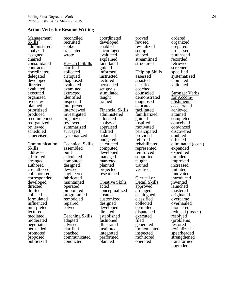## **Action Verbs for Resume Writing**

| <b>Management</b>    | reconciled              | coordinated             | proved                | ordered                 |
|----------------------|-------------------------|-------------------------|-----------------------|-------------------------|
| <b>Skills</b>        | recruited               | developed               | revised               | organized               |
| administered         | spoke                   | enabled                 | revitalized           | prepared                |
| analyzed             | translated              | encouraged              | set up                | processed               |
| assigned             | wrote                   | evaluated               | shaped                | purchased               |
| chaired              |                         | explained               | streamlined           | recorded                |
| consolidated         | Research Skills         | facilitated             | structured            | retrieved               |
| contracted           | clarified               | guided                  |                       | screened                |
| coordinated          | collected               | informed                | <b>Helping Skills</b> | specified               |
| delegated            | critiqued               | instructed              | assessed              | systematized            |
| developed            | diagnosed               | lectured                | assisted              | tabulated               |
| directed             | evaluated               | persuaded               | clarified             | validated               |
| evaluated            | examined                | set goals               | coached               |                         |
| executed             | extracted               | stimulated              | counseled             | <u>Stronger Verbs</u>   |
| organized            | identified              | taught                  | demonstrated          | <u>for Accom-</u>       |
| oversaw              | inspected               | trained                 | diagnosed             | plishments              |
| planned              | interpreted             |                         | educated              | accelerated             |
| prioritized          | interviewed             | <b>Financial Skills</b> | facilitated           | achieved                |
| produced             | investigated            | administered            | familiarized          | attained                |
| recommended          | organized               | allocated               | guided                | completed               |
| reorganized          | reviewed                | analyzed                | inspired              | conceived               |
| reviewed             | summarized              | appraised               | motivated             | convinced               |
| scheduled            | surveyed                | audited                 | participated          | discovered              |
| supervised           | systematized            | balanced                | provided              | doubled                 |
|                      |                         | budgeted                | referred              | effected                |
| <u>Communication</u> | <b>Technical Skills</b> | calculated              | rehabilitated         | eliminated (costs)      |
| Skills               | assembled               | computed                | represented           | expanded                |
| addressed            | built                   | developed               | reinforced            | expedited               |
| arbitrated           | calculated              | managed                 | supported             | founded                 |
| arranged             | computed                | marketed                | taught                | improved                |
| authored             | designed                | planned                 | trained               | increased               |
| co-authored          | devised                 | projected               | verified              | initiated               |
| collaborated         | engineered              | researched              |                       | innovated               |
| corresponded         | fabricated              |                         | Clerical or           | introduced              |
| developed            | maintained              | <b>Creative Skills</b>  | Detail Skills         | invented                |
| directed             | operated                | acted                   | approved              | launched                |
| drafted              | pinpointed              | conceptualized          | arranged              | mastered                |
| enlisted             | programmed              | created                 | catalogued            | originated              |
| formulated           | remodeled               | customized              | classified            | overcame                |
| influenced           | repaired                | designed                | collected             | overhauled              |
| interpreted          | solved                  | developed               | compiled              | pioneered               |
| lectured             |                         | directed                | dispatched            | reduced (losses)        |
| mediated             | <b>Teaching Skills</b>  | established             | executed              | resolved                |
| moderated            | adapted                 | fashioned               | filed                 | (problems)              |
| negotiated           | advised                 | illustrated             | generated             | restored                |
| persuaded            | clarified               | instituted              | implemented           | revitalized             |
| promoted             | coached                 | integrated              | inspected             | spearheaded             |
| proposed             | communicated            | performed               | monitored             | strengthened            |
| publicized           | conducted               | planned                 | operated              | transformed<br>upgraded |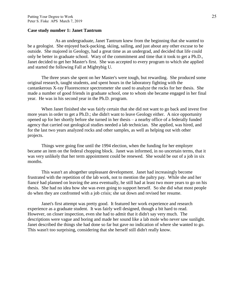#### **Case study number 1: Janet Tantrum**

As an undergraduate, Janet Tantrum knew from the beginning that she wanted to be a geologist. She enjoyed back-packing, skiing, sailing, and just about any other excuse to be outside. She majored in Geology, had a great time as an undergrad, and decided that life could only be better in graduate school. Wary of the commitment and time that it took to get a Ph.D., Janet decided to get her Master's first. She was accepted to every program to which she applied and started the following Fall at Mightybig U.

The three years she spent on her Master's were tough, but rewarding. She produced some original research, taught students, and spent hours in the laboratory fighting with the cantankerous X-ray Fluorescence spectrometer she used to analyze the rocks for her thesis. She made a number of good friends in graduate school, one to whom she became engaged in her final year. He was in his second year in the Ph.D. program.

When Janet finished she was fairly certain that she did not want to go back and invest five more years in order to get a Ph.D.; she didn't want to leave Geology either. A nice opportunity opened up for her shortly before she turned in her thesis – a nearby office of a federally funded agency that carried out geological studies needed a lab technician. She applied, was hired, and for the last two years analyzed rocks and other samples, as well as helping out with other projects.

Things were going fine until the 1994 election, when the funding for her employer became an item on the federal chopping block. Janet was informed, in no uncertain terms, that it was very unlikely that her term appointment could be renewed. She would be out of a job in six months.

This wasn't an altogether unpleasant development. Janet had increasingly become frustrated with the repetition of the lab work, not to mention the paltry pay. While she and her fiancé had planned on leaving the area eventually, he still had at least two more years to go on his thesis. She had no idea how she was even going to support herself. So she did what most people do when they are confronted with a job crisis; she sat down and revised her resume.

Janet's first attempt was pretty good. It featured her work experience and research experience as a graduate student. It was fairly well designed, though a bit hard to read. However, on closer inspection, even she had to admit that it didn't say very much. The descriptions were vague and boring and made her sound like a lab mole who never saw sunlight. Janet described the things she had done so far but gave no indication of where she wanted to go. This wasn't too surprising, considering that she herself still didn't really know.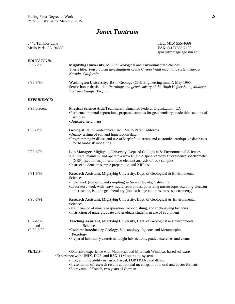## *Janet Tantrum*

| 6445 Temblor Lane<br>Mello Park, CA 94566 | TEL: (415) 555-4666<br>FAX: (415) 555-2199<br>spaz@fromage.geo.mu.edu                                                                                                                                                                                                                                                                      |
|-------------------------------------------|--------------------------------------------------------------------------------------------------------------------------------------------------------------------------------------------------------------------------------------------------------------------------------------------------------------------------------------------|
| <b>EDUCATION:</b><br>$9/90 - 6/93$        | Mightybig University, M.S. in Geological and Environmental Sciences<br>Thesis title: Petrological investigations of the Cheese Wind magmatic system, Sierra<br>Nevada, California                                                                                                                                                          |
| $8/86 - 5/90$                             | Washington University, BS in Geology (Civil Engineering minor), May 1990<br>Senior honor thesis title: Petrology and geochemistry of the Hugh Hefner Suite, Madison<br>7.5" quadrangle, Virginia                                                                                                                                           |
| <b>EXPERIENCE:</b>                        |                                                                                                                                                                                                                                                                                                                                            |
| 9/93-present                              | Physical Science Aide/Technician, Unnamed Federal Organization, CA<br>•Performed mineral separations, prepared samples for geochemistry, made thin sections of<br>samples<br>·Digitized field maps                                                                                                                                         |
| $1/93 - 9/93$                             | Geologist, Jello Geotechnical, Inc.; Mello Park, California<br>•Quality testing of soil and liquefaction data<br>•Programming in dBase and use of MapInfo to create and customize earthquake databases<br>for hazard/risk modelling                                                                                                        |
| $9/90 - 6/93$                             | Lab Manager, Mightybig University, Dept. of Geological & Environmental Sciences<br>•Calibrate, maintain, and operate a wavelength-dispersive x-ray fluorescence spectrometer<br>(XRF) used for major- and trace-element analysis of rock samples<br>•Instruct students in sample preparation and XRF use                                   |
| $6/91 - 6/93$                             | Research Assistant, Mightybig University, Dept. of Geological & Environmental<br>Sciences<br>•Field work (mapping and sampling) in Sierra Nevada, California<br>•Laboratory work with heavy liquid separations, polarizing microscope, scanning-electron<br>microscope, isotope geochemistry (ion exchange columns, mass spectrometry)     |
| $9/90 - 6/91$                             | Research Assistant, Mightybig University, Dept. of Geological & Environmental<br>Sciences<br>•Maintenance of mineral-separation, rock-crushing, and rock-sawing facilities<br>·Instruction of undergraduate and graduate students in use of equipment                                                                                      |
| $1/92 - 4/92$<br>and                      | Teaching Assistant, Mightybig University, Dept. of Geological & Environmental<br>Sciences                                                                                                                                                                                                                                                  |
| 10/92-6/93                                | •Courses: Introductory Geology, Volcanology, Igneous and Metamorphic<br>Petrology<br>•Prepared laboratory exercises, taught lab sections, graded exercises and exams                                                                                                                                                                       |
| <b>SKILLS:</b>                            | •Extensive experience with Macintosh and Microsoft Windows-based software<br>•Experience with UNIX, DOS, and RSX-11M operating systems<br>•Programming ability in Turbo Pascal, FORTRAN, and dBase<br>•Presentation of research results at national meetings in both oral and poster formats<br>•Four years of French, two years of German |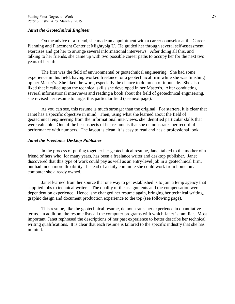#### *Janet the Geotechnical Engineer*

On the advice of a friend, she made an appointment with a career counselor at the Career Planning and Placement Center at Mightybig U. He guided her through several self-assessment exercises and got her to arrange several informational interviews. After doing all this, and talking to her friends, she came up with two possible career paths to occupy her for the next two years of her life.

The first was the field of environmental or geotechnical engineering. She had some experience in this field, having worked freelance for a geotechnical firm while she was finishing up her Master's. She liked the work, especially the chance to do much of it outside. She also liked that it called upon the technical skills she developed in her Master's. After conducting several informational interviews and reading a book about the field of geotechnical engineering, she revised her resume to target this particular field (see next page).

As you can see, this resume is much stronger than the original. For starters, it is clear that Janet has a specific objective in mind. Then, using what she learned about the field of geotechnical engineering from the informational interviews, she identified particular skills that were valuable. One of the best aspects of her resume is that she demonstrates her record of performance with numbers. The layout is clean, it is easy to read and has a professional look.

#### *Janet the Freelance Desktop Publisher*

In the process of putting together her geotechnical resume, Janet talked to the mother of a friend of hers who, for many years, has been a freelance writer and desktop publisher. Janet discovered that this type of work could pay as well as an entry-level job in a geotechnical firm, but had much more flexibility. Instead of a daily commute she could work from home on a computer she already owned.

Janet learned from her source that one way to get established is to join a temp agency that supplied jobs to technical writers. The quality of the assignments and the compensation were dependent on experience. Hence, she changed her resume again, bringing her technical writing, graphic design and document production experience to the top (see following page).

This resume, like the geotechnical resume, demonstrates her experience in quantitative terms. In addition, the resume lists all the computer programs with which Janet is familiar. Most important, Janet rephrased the descriptions of her past experience to better describe her technical writing qualifications. It is clear that each resume is tailored to the specific industry that she has in mind.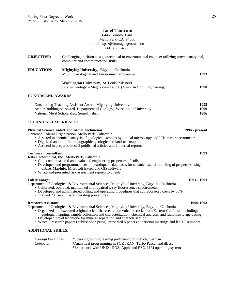## **Janet Tantrum**

#### 6445 Temblor Lane Mello Park, CA 94566 e-mail: spaz@fromage.geo.mu.edu (415) 555-4666

| <b>OBJECTIVE:</b>                                      | Challenging position as a geotechnical or environmental engineer utilizing proven analytical,<br>computer and communication skills                                                                                                                                                                                                                                                                                                                                                                               |                      |  |  |
|--------------------------------------------------------|------------------------------------------------------------------------------------------------------------------------------------------------------------------------------------------------------------------------------------------------------------------------------------------------------------------------------------------------------------------------------------------------------------------------------------------------------------------------------------------------------------------|----------------------|--|--|
| <b>EDUCATION:</b>                                      | Mightybig University, Bigville, California<br>M.S. in Geological and Environmental Sciences                                                                                                                                                                                                                                                                                                                                                                                                                      | 1993                 |  |  |
|                                                        | Washington University, St. Louis, Missouri<br>B.S. in Geology – Magna cum Laude (Minor in Civil Engineering)                                                                                                                                                                                                                                                                                                                                                                                                     | 1990                 |  |  |
| <b>HONORS AND AWARDS:</b>                              |                                                                                                                                                                                                                                                                                                                                                                                                                                                                                                                  |                      |  |  |
| <b>TECHNICAL EXPERIENCE:</b>                           | <b>Outstanding Teaching Assistant Award, Mightybig University</b><br>Arthur Buddington Award, Department of Geology, Washington University<br>National Merit Scholarship, Semi-finalist                                                                                                                                                                                                                                                                                                                          | 1992<br>1990<br>1986 |  |  |
|                                                        | <b>Physical Science Aide/Laboratory Technician</b><br>Unnamed Federal Organization, Mello Park, California<br>• Assisted in chemical analysis of geological samples by optical microscopy and ICP-mass spectrometer<br>• Digitized and modified topographic, geologic and land-use maps<br>• Assisted in preparation of 3 published articles and 2 internal reports                                                                                                                                              | 1994 - present       |  |  |
| <b>Technical Consultant</b>                            | Jello Geotechnical, Inc., Mello Park, California<br>• Collected, measured and evaluated engineering properties of soils<br>• Developed and programmed custom earthquake databases for seismic hazard modeling of properties using<br>dBase, MapInfo, Microsoft Excel, and GIS software<br>• Wrote and presented risk assessment reports to clients                                                                                                                                                               | 1993                 |  |  |
| <b>Lab Manager</b>                                     | Department of Geological & Environmental Sciences, Mightybig University, Bigville, California<br>• Calibrated, operated, maintained and repaired x-ray fluorescence spectrometer<br>• Developed and administered billing and operating procedures that cut laboratory costs by 60%<br>• Trained 23 users in safe operating procedures                                                                                                                                                                            | 1991 - 1993          |  |  |
| <b>Research Assistant</b><br><b>ADDITIONAL SKILLS:</b> | Department of Geological & Environmental Sciences, Mightybig University, Bigville, California<br>• Organized and executed original scientific research on volcanic rocks from Eastern California including:<br>geologic mapping, sample collection and characterization, chemical analysis, and radiometric age dating<br>• Developed novel technique for mineral separation and characterization<br>• Wrote 3 research papers (published/in press), presented 5 papers at national meetings and led 10 seminars | 1990-1993            |  |  |
|                                                        |                                                                                                                                                                                                                                                                                                                                                                                                                                                                                                                  |                      |  |  |

| <i>Foreign languages</i> | *Speaking/writing/reading proficiency in French, German         |
|--------------------------|-----------------------------------------------------------------|
| Computer                 | *Analytical programming in FORTRAN, Turbo Pascal and dBase      |
|                          | *Experience with UNIX, DOS, Apple and RSX-11M operating systems |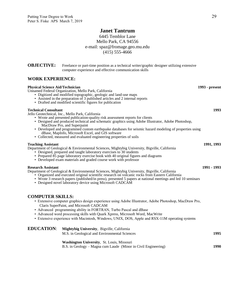## **Janet Tantrum**

## 6445 Temblor Lane Mello Park, CA 94556 e-mail: spaz@fromage.geo.mu.edu (415) 555-4666

**OBJECTIVE:** Freelance or part-time position as a technical writer/graphic designer utilizing extensive computer experience and effective communication skills

#### **WORK EXPERIENCE:**

| <b>Physical Science Aid/Technician</b> | Unnamed Federal Organization, Mello Park, California<br>• Digitized and modified topographic, geologic and land-use maps<br>• Assisted in the preparation of 3 published articles and 2 internal reports<br>• Drafted and modified scientific figures for publication                                                                                                                                                                                                                                        | 1993 - present |
|----------------------------------------|--------------------------------------------------------------------------------------------------------------------------------------------------------------------------------------------------------------------------------------------------------------------------------------------------------------------------------------------------------------------------------------------------------------------------------------------------------------------------------------------------------------|----------------|
| <b>Technical Consultant</b>            | Jello Geotechnical, Inc., Mello Park, California<br>• Wrote and presented publication-quality risk assessment reports for clients<br>• Designed and produced technical and schematic graphics using Adobe Illustrator, Adobe Photoshop,<br>MacDraw Pro, and Superpaint<br>• Developed and programmed custom earthquake databases for seismic hazard modeling of properties using<br>dBase, MapInfo, Microsoft Excel, and GIS software<br>• Collected, measured and evaluated engineering properties of soils | 1993           |
| <b>Teaching Assistant</b>              | Department of Geological & Environmental Sciences, Mightybig University, Bigville, California<br>• Designed, prepared and taught laboratory exercises to 30 students<br>• Prepared 85 page laboratory exercise book with 40 original figures and diagrams<br>• Developed exam materials and graded course work with professor                                                                                                                                                                                | 1991, 1993     |
| <b>Research Assistant</b>              | Department of Geological & Environmental Sciences, Mightybig University, Bigville, California<br>• Organized and executed original scientific research on volcanic rocks from Eastern California<br>• Wrote 3 research papers (published/in press), presented 5 papers at national meetings and led 10 seminars<br>• Designed novel laboratory device using Microsoft CADCAM                                                                                                                                 | 1991 - 1993    |
| <b>COMPUTER SKILLS:</b>                | • Extensive computer graphics design experience using Adobe Illustrator, Adobe Photoshop, MacDraw Pro,<br>Claris SuperPaint, and Microsoft CADCAM<br>• Advanced programming ability in FORTRAN, Turbo Pascal and dBase<br>• Advanced word processing skills with Quark Xpress, Microsoft Word, MacWrite<br>• Extensive experience with Macintosh, Windows, UNIX, DOS, Apple and RSX-11M operating systems                                                                                                    |                |
| <b>EDUCATION:</b>                      | Mightybig University, Bigville, California<br>M.S. in Geological and Environmental Sciences                                                                                                                                                                                                                                                                                                                                                                                                                  | 1995           |
|                                        | Washington University, St. Louis, Missouri<br>B.S. in Geology – Magna cum Laude (Minor in Civil Engineering)                                                                                                                                                                                                                                                                                                                                                                                                 | 1990           |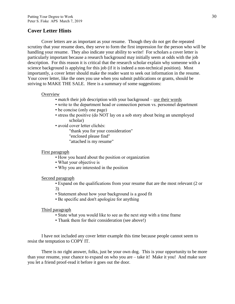## **Cover Letter Hints**

Cover letters are as important as your resume. Though they do not get the repeated scrutiny that your resume does, they serve to form the first impression for the person who will be handling your resume. They also indicate your ability to write! For scholars a cover letter is particularly important because a research background may initially seem at odds with the job description. For this reason it is critical that the research scholar explain why someone with a science background is applying for this job (if it is indeed a non-technical position). Most importantly, a cover letter should make the reader want to seek out information in the resume. Your cover letter, like the ones you use when you submit publications or grants, should be striving to MAKE THE SALE. Here is a summary of some suggestions:

#### **Overview**

- *match* their job description with your background use their words
- write to the department head or connection person vs. personnel department
- be concise (only one page)
- stress the positive (do NOT lay on a sob story about being an unemployed scholar)
- avoid cover letter clichés:

"thank you for your consideration" "enclosed please find" "attached is my resume"

#### First paragraph

- How you heard about the position or organization
- What your objective is
- Why you are interested in the position

#### Second paragraph

• Expand on the qualifications from your resume that are the most relevant (2 or 3)

- Statement about how your background is a good fit
- Be specific and don't apologize for anything

#### Third paragraph

- State what you would like to see as the next step with a time frame
- Thank them for their consideration (see above!)

I have not included any cover letter example this time because people cannot seem to resist the temptation to COPY IT.

There is no right answer, folks, just be your own dog. This is your opportunity to be more than your resume, your chance to expand on who you are – take it! Make it you! And make sure you let a friend proof-read it before it goes out the door.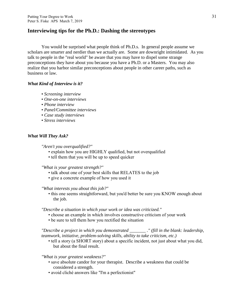## **Interviewing tips for the Ph.D.: Dashing the stereotypes**

You would be surprised what people think of Ph.D.s. In general people assume we scholars are smarter and nerdier than we actually are. Some are downright intimidated. As you talk to people in the "real world" be aware that you may have to dispel some strange preconceptions they have about you because you have a Ph.D. or a Masters. You may also realize that you harbor similar preconceptions about people in other career paths, such as business or law.

#### *What Kind of Interview is it?*

- *Screening interview*
- *One-on-one interviews*
- *Phone interview*
- *Panel/Committee interviews*
- *Case study interviews*
- *Stress interviews*

#### *What Will They Ask?*

*"Aren't you overqualified?"*

- explain how you are HIGHLY qualified, but not overqualified
- tell them that you will be up to speed quicker

*"What is your greatest strength?"*

- talk about one of your best skills that RELATES to the job
- give a concrete example of how you used it

*"What interests you about this job?"*

• this one seems straightforward, but you'd better be sure you KNOW enough about the job.

#### *"Describe a situation in which your work or idea was criticized."*

- choose an example in which involves constructive criticism of your work
- be sure to tell them how you rectified the situation

*"Describe a project in which you demonstrated \_\_\_\_\_\_\_ ." (fill in the blank: leadership, teamwork, initiative, problem-solving skills, ability to take criticism, etc.)*

• tell a story (a SHORT story) about a specific incident, not just about what you did, but about the final result.

*"What is your greatest weakness?"*

- save absolute candor for your therapist. Describe a weakness that could be considered a strength.
- avoid cliché answers like "I'm a perfectionist"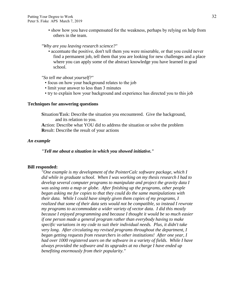• show how you have compensated for the weakness, perhaps by relying on help from others in the team.

#### *"Why are you leaving research science?"*

• accentuate the positive, don't tell them you were miserable, or that you could never find a permanent job, tell them that you are looking for new challenges and a place where you can apply some of the abstract knowledge you have learned in grad school.

*"So tell me about yourself?"*

- focus on how your background relates to the job
- limit your answer to less than 3 minutes
- try to explain how your background and experience has directed you to this job

#### **Techniques for answering questions**

**S**ituation/**T**ask: Describe the situation you encountered. Give the background, and its relation to you.

**A**ction: Describe what YOU did to address the situation or solve the problem **R**esult: Describe the result of your actions

#### *An example*

*"Tell me about a situation in which you showed initiative."*

#### **Bill responded:**

*"One example is my development of the PointerCalc software package, which I did while in graduate school. When I was working on my thesis research I had to develop several computer programs to manipulate and project the gravity data I was using onto a map or globe. After finishing up the programs, other people began asking me for copies to that they could do the same manipulations with their data. While I could have simply given them copies of my programs, I realized that some of their data sets would not be compatible, so instead I rewrote my programs to accommodate a wider variety of vector data. I did this mostly because I enjoyed programming and because I thought it would be so much easier if one person made a general program rather than everybody having to make specific variations in my code to suit their individual needs. Plus, it didn't take very long. After circulating my revised programs throughout the department, I began getting requests from researchers in other institutions! After one year, I had over 1000 registered users on the software in a variety of fields. While I have always provided the software and its upgrades at no charge I have ended up benefiting enormously from their popularity."*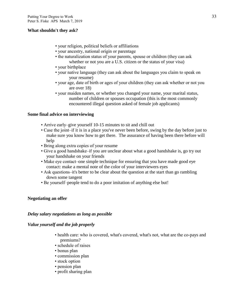#### **What shouldn't they ask?**

- your religion, political beliefs or affiliations
- your ancestry, national origin or parentage
- the naturalization status of your parents, spouse or children (they can ask whether or not you are a U.S. citizen or the status of your visa)
- your birthplace
- your native language (they can ask about the languages you claim to speak on your resume)
- your age, date of birth or ages of your children (they can ask whether or not you are over 18)
- your maiden names, or whether you changed your name, your marital status, number of children or spouses occupation (this is the most commonly encountered illegal question asked of female job applicants)

#### **Some final advice on interviewing**

- Arrive early–give yourself 10-15 minutes to sit and chill out
- Case the joint–if it is in a place you've never been before, swing by the day before just to make sure you know how to get there. The assurance of having been there before will help
- Bring along extra copies of your resume
- Give a good handshake–if you are unclear about what a good handshake is, go try out your handshake on your friends
- Make eye contact–one simple technique for ensuring that you have made good eye contact: make a mental note of the color of your interviewers eyes
- Ask questions–it's better to be clear about the question at the start than go rambling down some tangent
- Be yourself–people tend to do a poor imitation of anything else but!

#### **Negotiating an offer**

#### *Delay salary negotiations as long as possible*

#### *Value yourself and the job properly*

- health care: who is covered, what's covered, what's not, what are the co-pays and premiums?
- schedule of raises
- bonus plan
- commission plan
- stock option
- pension plan
- profit sharing plan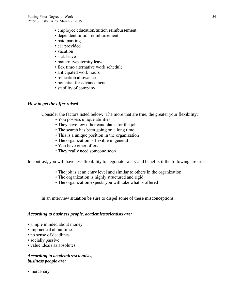- employee education/tuition reimbursement
- dependent tuition reimbursement
- paid parking
- car provided
- vacation
- sick leave
- maternity/paternity leave
- flex time/alternative work schedule
- anticipated work hours
- relocation allowance
- potential for advancement
- stability of company

## *How to get the offer raised*

Consider the factors listed below. The more that are true, the greater your flexibility:

- You possess unique abilities
- They have few other candidates for the job
- The search has been going on a long time
- This is a unique position in the organization
- The organization is flexible in general
- You have other offers
- They really need someone soon

In contrast, you will have less flexibility to negotiate salary and benefits if the following are true:

- The job is at an entry level and similar to others in the organization
- The organization is highly structured and rigid
- The organization expects you will take what is offered

In an interview situation be sure to dispel some of these misconceptions.

#### *According to business people, academics/scientists are:*

- simple minded about money
- impractical about time
- no sense of deadlines
- socially passive
- value ideals as absolutes

#### *According to academics/scientists, business people are:*

• mercenary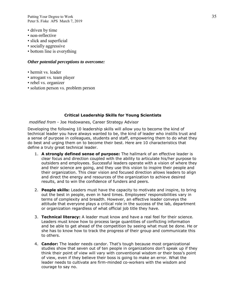Putting Your Degree to Work 35 Peter S. Fiske APS March 7, 2019

- driven by time
- non-reflective
- slick and superficial
- socially aggressive
- bottom line is everything

#### *Other potential perceptions to overcome:*

- hermit vs. leader
- arrogant vs. team player
- rebel vs. organizer
- solution person vs. problem person

#### **Critical Leadership Skills for Young Scientists**

*modified from* - Joe Hodowanes, Career Strategy Advisor

Developing the following 10 leadership skills will allow you to become the kind of technical leader you have always wanted to be, the kind of leader who instills trust and a sense of purpose in colleagues, students and staff, empowering them to do what they do best and urging them on to become their best. Here are 10 characteristics that define a truly great technical leader.

- 1. **A strongly defined sense of purpose:** The hallmark of an effective leader is clear focus and direction coupled with the ability to articulate his/her purpose to outsiders and employees. Successful leaders operate with a vision of where they and their science are going, and they use this vision to inspire their people and their organization. This clear vision and focused direction allows leaders to align and direct the energy and resources of the organization to achieve desired results, and to win the confidence of funders and peers.
- 2. **People skills:** Leaders must have the capacity to motivate and inspire, to bring out the best in people, even in hard times. Employees' responsibilities vary in terms of complexity and breadth. However, an effective leader conveys the attitude that everyone plays a critical role in the success of the lab, department or organization regardless of what official job title they have.
- 3. **Technical literacy:** A leader must know and have a real feel for their science. Leaders must know how to process large quantities of conflicting information and be able to get ahead of the competition by seeing what must be done. He or she has to know how to track the progress of their group and communicate this to others.
- 4. **Candor:** The leader needs candor. That's tough because most organizational studies show that seven out of ten people in organizations don't speak up if they think their point of view will vary with conventional wisdom or their boss's point of view, even if they believe their boss is going to make an error. What the leader needs to cultivate are firm-minded co-workers with the wisdom and courage to say no.